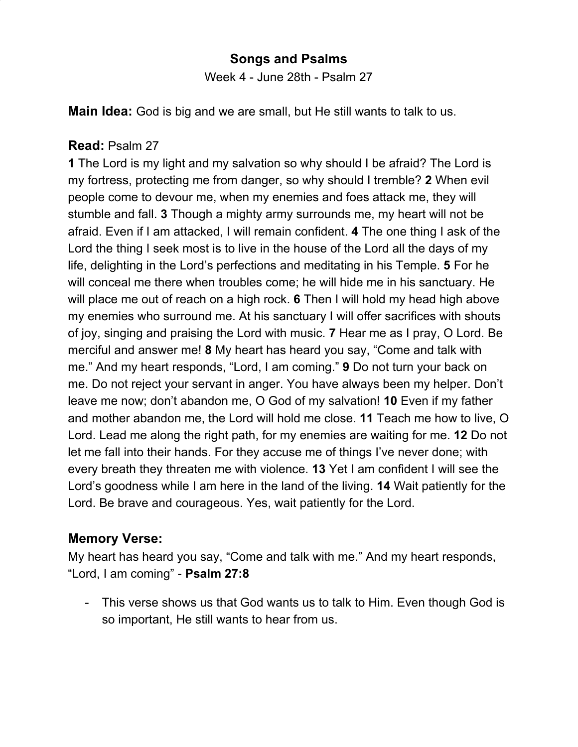### **Songs and Psalms**

Week 4 - June 28th - Psalm 27

**Main Idea:** God is big and we are small, but He still wants to talk to us.

#### **Read:** Psalm 27

**1** The Lord is my light and my salvation so why should I be afraid? The Lord is my fortress, protecting me from danger, so why should I tremble? **2** When evil people come to devour me, when my enemies and foes attack me, they will stumble and fall. **3** Though a mighty army surrounds me, my heart will not be afraid. Even if I am attacked, I will remain confident. **4** The one thing I ask of the Lord the thing I seek most is to live in the house of the Lord all the days of my life, delighting in the Lord's perfections and meditating in his Temple. **5** For he will conceal me there when troubles come; he will hide me in his sanctuary. He will place me out of reach on a high rock. **6** Then I will hold my head high above my enemies who surround me. At his sanctuary I will offer sacrifices with shouts of joy, singing and praising the Lord with music. **7** Hear me as I pray, O Lord. Be merciful and answer me! **8** My heart has heard you say, "Come and talk with me." And my heart responds, "Lord, I am coming." **9** Do not turn your back on me. Do not reject your servant in anger. You have always been my helper. Don't leave me now; don't abandon me, O God of my salvation! **10** Even if my father and mother abandon me, the Lord will hold me close. **11** Teach me how to live, O Lord. Lead me along the right path, for my enemies are waiting for me. **12** Do not let me fall into their hands. For they accuse me of things I've never done; with every breath they threaten me with violence. **13** Yet I am confident I will see the Lord's goodness while I am here in the land of the living. **14** Wait patiently for the Lord. Be brave and courageous. Yes, wait patiently for the Lord.

#### **Memory Verse:**

My heart has heard you say, "Come and talk with me." And my heart responds, "Lord, I am coming" - **Psalm 27:8**

- This verse shows us that God wants us to talk to Him. Even though God is so important, He still wants to hear from us.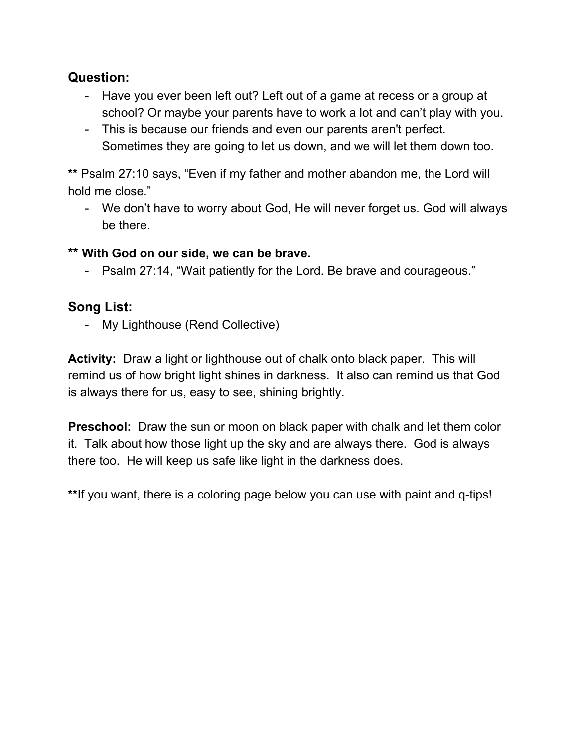## **Question:**

- Have you ever been left out? Left out of a game at recess or a group at school? Or maybe your parents have to work a lot and can't play with you.
- This is because our friends and even our parents aren't perfect. Sometimes they are going to let us down, and we will let them down too.

**\*\*** Psalm 27:10 says, "Even if my father and mother abandon me, the Lord will hold me close."

- We don't have to worry about God, He will never forget us. God will always be there.

#### **\*\* With God on our side, we can be brave.**

- Psalm 27:14, "Wait patiently for the Lord. Be brave and courageous."

# **Song List:**

- My Lighthouse (Rend Collective)

**Activity:** Draw a light or lighthouse out of chalk onto black paper. This will remind us of how bright light shines in darkness. It also can remind us that God is always there for us, easy to see, shining brightly.

**Preschool:** Draw the sun or moon on black paper with chalk and let them color it. Talk about how those light up the sky and are always there. God is always there too. He will keep us safe like light in the darkness does.

**\*\***If you want, there is a coloring page below you can use with paint and q-tips!